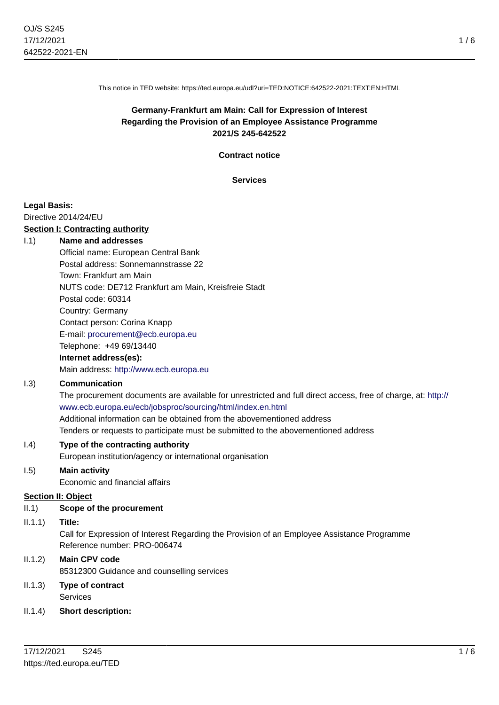This notice in TED website: https://ted.europa.eu/udl?uri=TED:NOTICE:642522-2021:TEXT:EN:HTML

# **Germany-Frankfurt am Main: Call for Expression of Interest Regarding the Provision of an Employee Assistance Programme 2021/S 245-642522**

**Contract notice**

**Services**

#### **Legal Basis:**

Directive 2014/24/EU

#### **Section I: Contracting authority**

#### I.1) **Name and addresses**

Official name: European Central Bank Postal address: Sonnemannstrasse 22 Town: Frankfurt am Main NUTS code: DE712 Frankfurt am Main, Kreisfreie Stadt Postal code: 60314 Country: Germany Contact person: Corina Knapp E-mail: [procurement@ecb.europa.eu](mailto:procurement@ecb.europa.eu) Telephone: +49 69/13440 **Internet address(es):**

Main address:<http://www.ecb.europa.eu>

#### I.3) **Communication**

The procurement documents are available for unrestricted and full direct access, free of charge, at: [http://](http://www.ecb.europa.eu/ecb/jobsproc/sourcing/html/index.en.html) [www.ecb.europa.eu/ecb/jobsproc/sourcing/html/index.en.html](http://www.ecb.europa.eu/ecb/jobsproc/sourcing/html/index.en.html) Additional information can be obtained from the abovementioned address Tenders or requests to participate must be submitted to the abovementioned address

#### I.4) **Type of the contracting authority**

European institution/agency or international organisation

#### I.5) **Main activity**

Economic and financial affairs

#### **Section II: Object**

II.1) **Scope of the procurement**

#### II.1.1) **Title:**

Call for Expression of Interest Regarding the Provision of an Employee Assistance Programme Reference number: PRO-006474

## II.1.2) **Main CPV code**

85312300 Guidance and counselling services

## II.1.3) **Type of contract** Services

#### II.1.4) **Short description:**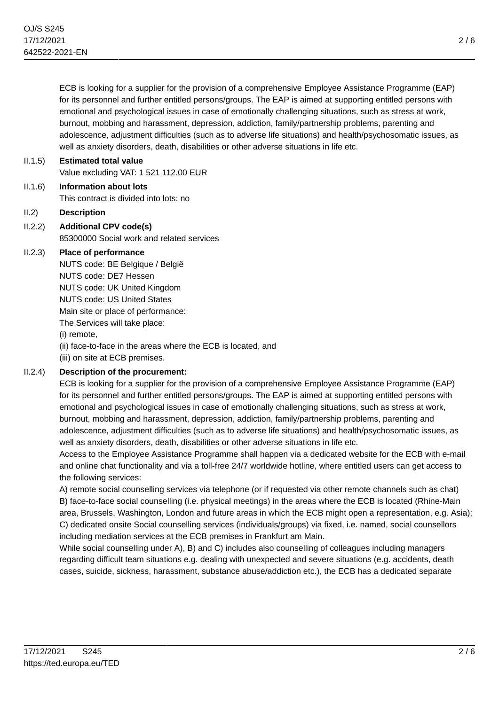ECB is looking for a supplier for the provision of a comprehensive Employee Assistance Programme (EAP) for its personnel and further entitled persons/groups. The EAP is aimed at supporting entitled persons with emotional and psychological issues in case of emotionally challenging situations, such as stress at work, burnout, mobbing and harassment, depression, addiction, family/partnership problems, parenting and adolescence, adjustment difficulties (such as to adverse life situations) and health/psychosomatic issues, as well as anxiety disorders, death, disabilities or other adverse situations in life etc.

# II.1.5) **Estimated total value** Value excluding VAT: 1 521 112.00 EUR

- II.1.6) **Information about lots** This contract is divided into lots: no
- II.2) **Description**
- II.2.2) **Additional CPV code(s)** 85300000 Social work and related services

# II.2.3) **Place of performance**

NUTS code: BE Belgique / België NUTS code: DE7 Hessen NUTS code: UK United Kingdom NUTS code: US United States Main site or place of performance: The Services will take place: (i) remote, (ii) face-to-face in the areas where the ECB is located, and (iii) on site at ECB premises.

# II.2.4) **Description of the procurement:**

ECB is looking for a supplier for the provision of a comprehensive Employee Assistance Programme (EAP) for its personnel and further entitled persons/groups. The EAP is aimed at supporting entitled persons with emotional and psychological issues in case of emotionally challenging situations, such as stress at work, burnout, mobbing and harassment, depression, addiction, family/partnership problems, parenting and adolescence, adjustment difficulties (such as to adverse life situations) and health/psychosomatic issues, as well as anxiety disorders, death, disabilities or other adverse situations in life etc.

Access to the Employee Assistance Programme shall happen via a dedicated website for the ECB with e-mail and online chat functionality and via a toll-free 24/7 worldwide hotline, where entitled users can get access to the following services:

A) remote social counselling services via telephone (or if requested via other remote channels such as chat) B) face-to-face social counselling (i.e. physical meetings) in the areas where the ECB is located (Rhine-Main area, Brussels, Washington, London and future areas in which the ECB might open a representation, e.g. Asia); C) dedicated onsite Social counselling services (individuals/groups) via fixed, i.e. named, social counsellors including mediation services at the ECB premises in Frankfurt am Main.

While social counselling under A), B) and C) includes also counselling of colleagues including managers regarding difficult team situations e.g. dealing with unexpected and severe situations (e.g. accidents, death cases, suicide, sickness, harassment, substance abuse/addiction etc.), the ECB has a dedicated separate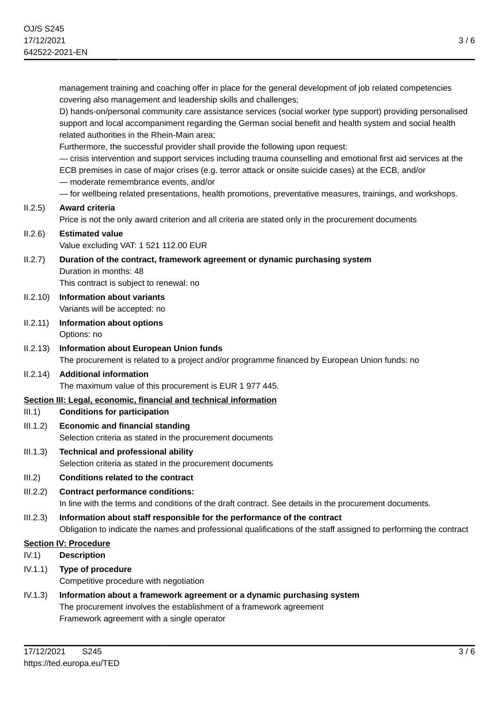management training and coaching offer in place for the general development of job related competencies covering also management and leadership skills and challenges;

D) hands-on/personal community care assistance services (social worker type support) providing personalised support and local accompaniment regarding the German social benefit and health system and social health related authorities in the Rhein-Main area;

Furthermore, the successful provider shall provide the following upon request:

— crisis intervention and support services including trauma counselling and emotional first aid services at the ECB premises in case of major crises (e.g. terror attack or onsite suicide cases) at the ECB, and/or

— moderate remembrance events, and/or

— for wellbeing related presentations, health promotions, preventative measures, trainings, and workshops.

#### II.2.5) **Award criteria**

Price is not the only award criterion and all criteria are stated only in the procurement documents

#### II.2.6) **Estimated value** Value excluding VAT: 1 521 112.00 EUR

- II.2.7) **Duration of the contract, framework agreement or dynamic purchasing system** Duration in months: 48 This contract is subject to renewal: no
- II.2.10) **Information about variants** Variants will be accepted: no
- II.2.11) **Information about options** Options: no
- II.2.13) **Information about European Union funds** The procurement is related to a project and/or programme financed by European Union funds: no
- II.2.14) **Additional information** The maximum value of this procurement is EUR 1 977 445.

## **Section III: Legal, economic, financial and technical information**

#### III.1) **Conditions for participation**

- III.1.2) **Economic and financial standing** Selection criteria as stated in the procurement documents
- III.1.3) **Technical and professional ability** Selection criteria as stated in the procurement documents
- III.2) **Conditions related to the contract**
- III.2.2) **Contract performance conditions:** In line with the terms and conditions of the draft contract. See details in the procurement documents.
- III.2.3) **Information about staff responsible for the performance of the contract** Obligation to indicate the names and professional qualifications of the staff assigned to performing the contract

## **Section IV: Procedure**

- IV.1) **Description**
- IV.1.1) **Type of procedure**

Competitive procedure with negotiation

IV.1.3) **Information about a framework agreement or a dynamic purchasing system** The procurement involves the establishment of a framework agreement Framework agreement with a single operator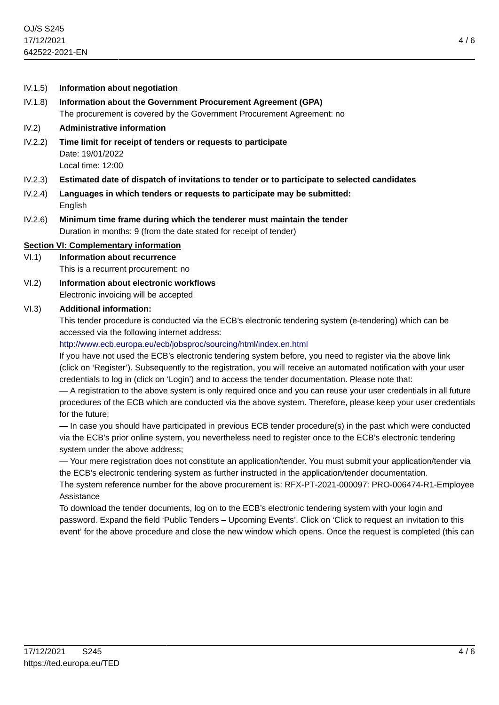IV.1.8) **Information about the Government Procurement Agreement (GPA)** The procurement is covered by the Government Procurement Agreement: no

#### IV.2) **Administrative information**

- IV.2.2) **Time limit for receipt of tenders or requests to participate** Date: 19/01/2022 Local time: 12:00
- IV.2.3) **Estimated date of dispatch of invitations to tender or to participate to selected candidates**
- IV.2.4) **Languages in which tenders or requests to participate may be submitted:** English
- IV.2.6) **Minimum time frame during which the tenderer must maintain the tender** Duration in months: 9 (from the date stated for receipt of tender)

#### **Section VI: Complementary information**

- VI.1) **Information about recurrence**
	- This is a recurrent procurement: no
- VI.2) **Information about electronic workflows** Electronic invoicing will be accepted

#### VI.3) **Additional information:**

This tender procedure is conducted via the ECB's electronic tendering system (e-tendering) which can be accessed via the following internet address:

#### <http://www.ecb.europa.eu/ecb/jobsproc/sourcing/html/index.en.html>

If you have not used the ECB's electronic tendering system before, you need to register via the above link (click on 'Register'). Subsequently to the registration, you will receive an automated notification with your user credentials to log in (click on 'Login') and to access the tender documentation. Please note that:

— A registration to the above system is only required once and you can reuse your user credentials in all future procedures of the ECB which are conducted via the above system. Therefore, please keep your user credentials for the future;

— In case you should have participated in previous ECB tender procedure(s) in the past which were conducted via the ECB's prior online system, you nevertheless need to register once to the ECB's electronic tendering system under the above address;

— Your mere registration does not constitute an application/tender. You must submit your application/tender via the ECB's electronic tendering system as further instructed in the application/tender documentation.

The system reference number for the above procurement is: RFX-PT-2021-000097: PRO-006474-R1-Employee Assistance

To download the tender documents, log on to the ECB's electronic tendering system with your login and password. Expand the field 'Public Tenders – Upcoming Events'. Click on 'Click to request an invitation to this event' for the above procedure and close the new window which opens. Once the request is completed (this can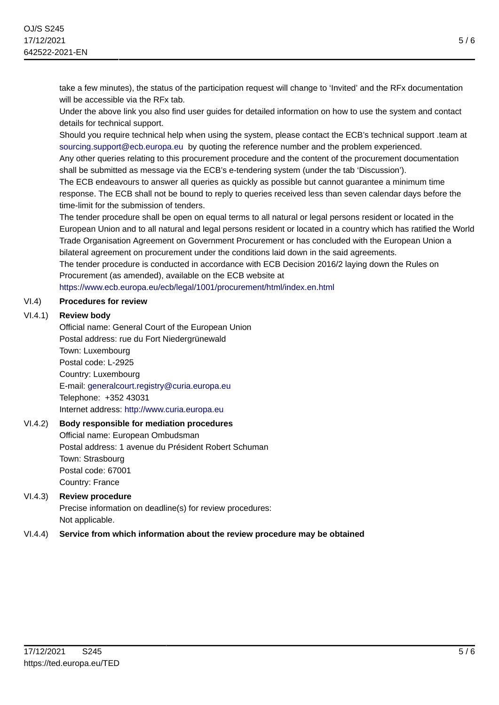take a few minutes), the status of the participation request will change to 'Invited' and the RFx documentation will be accessible via the RFx tab.

Under the above link you also find user guides for detailed information on how to use the system and contact details for technical support.

Should you require technical help when using the system, please contact the ECB's technical support .team at [sourcing.support@ecb.europa.eu](mailto:sourcing.support@ecb.europa.eu) by quoting the reference number and the problem experienced.

Any other queries relating to this procurement procedure and the content of the procurement documentation shall be submitted as message via the ECB's e-tendering system (under the tab 'Discussion').

The ECB endeavours to answer all queries as quickly as possible but cannot guarantee a minimum time response. The ECB shall not be bound to reply to queries received less than seven calendar days before the time-limit for the submission of tenders.

The tender procedure shall be open on equal terms to all natural or legal persons resident or located in the European Union and to all natural and legal persons resident or located in a country which has ratified the World Trade Organisation Agreement on Government Procurement or has concluded with the European Union a bilateral agreement on procurement under the conditions laid down in the said agreements. The tender procedure is conducted in accordance with ECB Decision 2016/2 laying down the Rules on Procurement (as amended), available on the ECB website at

<https://www.ecb.europa.eu/ecb/legal/1001/procurement/html/index.en.html>

## VI.4) **Procedures for review**

## VI.4.1) **Review body**

Official name: General Court of the European Union Postal address: rue du Fort Niedergrünewald Town: Luxembourg Postal code: L-2925 Country: Luxembourg E-mail: [generalcourt.registry@curia.europa.eu](mailto:generalcourt.registry@curia.europa.eu) Telephone: +352 43031 Internet address: <http://www.curia.europa.eu>

## VI.4.2) **Body responsible for mediation procedures**

Official name: European Ombudsman Postal address: 1 avenue du Président Robert Schuman Town: Strasbourg Postal code: 67001 Country: France

# VI.4.3) **Review procedure**

Precise information on deadline(s) for review procedures: Not applicable.

## VI.4.4) **Service from which information about the review procedure may be obtained**